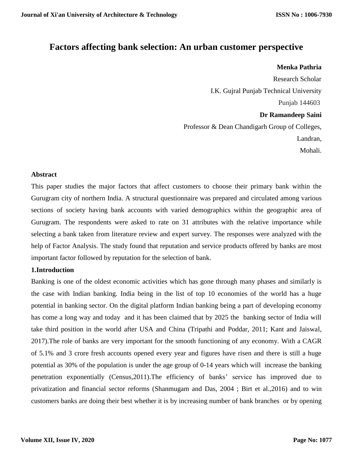# **Factors affecting bank selection: An urban customer perspective**

#### **Menka Pathria**

Research Scholar I.K. Gujral Punjab Technical University Punjab 144603 **Dr Ramandeep Saini** Professor & Dean Chandigarh Group of Colleges, Landran, Mohali.

#### **Abstract**

This paper studies the major factors that affect customers to choose their primary bank within the Gurugram city of northern India. A structural questionnaire was prepared and circulated among various sections of society having bank accounts with varied demographics within the geographic area of Gurugram. The respondents were asked to rate on 31 attributes with the relative importance while selecting a bank taken from literature review and expert survey. The responses were analyzed with the help of Factor Analysis. The study found that reputation and service products offered by banks are most important factor followed by reputation for the selection of bank.

### **1.Introduction**

Banking is one of the oldest economic activities which has gone through many phases and similarly is the case with Indian banking. India being in the list of top 10 economies of the world has a huge potential in banking sector. On the digital platform Indian banking being a part of developing economy has come a long way and today and it has been claimed that by 2025 the banking sector of India will take third position in the world after USA and China (Tripathi and Poddar, 2011; Kant and Jaiswal, 2017).The role of banks are very important for the smooth functioning of any economy. With a CAGR of 5.1% and 3 crore fresh accounts opened every year and figures have risen and there is still a huge potential as 30% of the population is under the age group of 0-14 years which will increase the banking penetration exponentially (Census,2011).The efficiency of banks' service has improved due to privatization and financial sector reforms (Shanmugam and Das, 2004 ; Birt et al.,2016) and to win customers banks are doing their best whether it is by increasing number of bank branches or by opening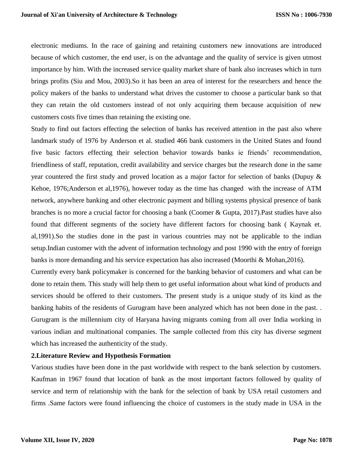electronic mediums. In the race of gaining and retaining customers new innovations are introduced because of which customer, the end user, is on the advantage and the quality of service is given utmost importance by him. With the increased service quality market share of bank also increases which in turn brings profits (Siu and Mou, 2003).So it has been an area of interest for the researchers and hence the policy makers of the banks to understand what drives the customer to choose a particular bank so that they can retain the old customers instead of not only acquiring them because acquisition of new customers costs five times than retaining the existing one.

Study to find out factors effecting the selection of banks has received attention in the past also where landmark study of 1976 by Anderson et al. studied 466 bank customers in the United States and found five basic factors effecting their selection behavior towards banks ie friends' recommendation, friendliness of staff, reputation, credit availability and service charges but the research done in the same year countered the first study and proved location as a major factor for selection of banks (Dupuy & Kehoe, 1976;Anderson et al,1976), however today as the time has changed with the increase of ATM network, anywhere banking and other electronic payment and billing systems physical presence of bank branches is no more a crucial factor for choosing a bank (Coomer & Gupta, 2017).Past studies have also found that different segments of the society have different factors for choosing bank ( Kaynak et. al,1991).So the studies done in the past in various countries may not be applicable to the indian setup.Indian customer with the advent of information technology and post 1990 with the entry of foreign banks is more demanding and his service expectation has also increased (Moorthi & Mohan,2016).

Currently every bank policymaker is concerned for the banking behavior of customers and what can be done to retain them. This study will help them to get useful information about what kind of products and services should be offered to their customers. The present study is a unique study of its kind as the banking habits of the residents of Gurugram have been analyzed which has not been done in the past. . Gurugram is the millennium city of Haryana having migrants coming from all over India working in various indian and multinational companies. The sample collected from this city has diverse segment which has increased the authenticity of the study.

#### **2.Literature Review and Hypothesis Formation**

Various studies have been done in the past worldwide with respect to the bank selection by customers. Kaufman in 1967 found that location of bank as the most important factors followed by quality of service and term of relationship with the bank for the selection of bank by USA retail customers and firms .Same factors were found influencing the choice of customers in the study made in USA in the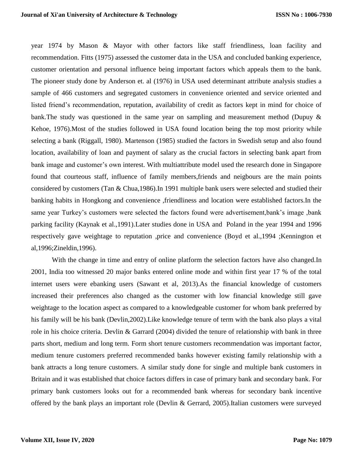year 1974 by Mason & Mayor with other factors like staff friendliness, loan facility and recommendation. Fitts (1975) assessed the customer data in the USA and concluded banking experience, customer orientation and personal influence being important factors which appeals them to the bank. The pioneer study done by Anderson et. al (1976) in USA used determinant attribute analysis studies a sample of 466 customers and segregated customers in convenience oriented and service oriented and listed friend's recommendation, reputation, availability of credit as factors kept in mind for choice of bank.The study was questioned in the same year on sampling and measurement method (Dupuy & Kehoe, 1976).Most of the studies followed in USA found location being the top most priority while selecting a bank (Riggall, 1980). Martenson (1985) studied the factors in Swedish setup and also found location, availability of loan and payment of salary as the crucial factors in selecting bank apart from bank image and customer's own interest. With multiattribute model used the research done in Singapore found that courteous staff, influence of family members,friends and neigbours are the main points considered by customers (Tan & Chua,1986).In 1991 multiple bank users were selected and studied their banking habits in Hongkong and convenience ,friendliness and location were established factors.In the same year Turkey's customers were selected the factors found were advertisement,bank's image ,bank parking facility (Kaynak et al.,1991).Later studies done in USA and Poland in the year 1994 and 1996 respectively gave weightage to reputation ,price and convenience (Boyd et al.,1994 ;Kennington et al,1996;Zineldin,1996).

With the change in time and entry of online platform the selection factors have also changed.In 2001, India too witnessed 20 major banks entered online mode and within first year 17 % of the total internet users were ebanking users (Sawant et al, 2013).As the financial knowledge of customers increased their preferences also changed as the customer with low financial knowledge still gave weightage to the location aspect as compared to a knowledgeable customer for whom bank preferred by his family will be his bank (Devlin,2002).Like knowledge tenure of term with the bank also plays a vital role in his choice criteria. Devlin & Garrard (2004) divided the tenure of relationship with bank in three parts short, medium and long term. Form short tenure customers recommendation was important factor, medium tenure customers preferred recommended banks however existing family relationship with a bank attracts a long tenure customers. A similar study done for single and multiple bank customers in Britain and it was established that choice factors differs in case of primary bank and secondary bank. For primary bank customers looks out for a recommended bank whereas for secondary bank incentive offered by the bank plays an important role (Devlin & Gerrard, 2005).Italian customers were surveyed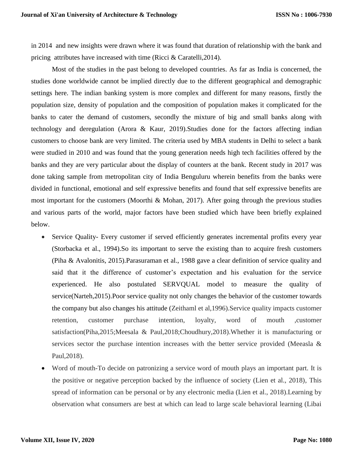in 2014 and new insights were drawn where it was found that duration of relationship with the bank and pricing attributes have increased with time (Ricci & Caratelli,2014).

Most of the studies in the past belong to developed countries. As far as India is concerned, the studies done worldwide cannot be implied directly due to the different geographical and demographic settings here. The indian banking system is more complex and different for many reasons, firstly the population size, density of population and the composition of population makes it complicated for the banks to cater the demand of customers, secondly the mixture of big and small banks along with technology and deregulation (Arora & Kaur, 2019).Studies done for the factors affecting indian customers to choose bank are very limited. The criteria used by MBA students in Delhi to select a bank were studied in 2010 and was found that the young generation needs high tech facilities offered by the banks and they are very particular about the display of counters at the bank. Recent study in 2017 was done taking sample from metropolitan city of India Benguluru wherein benefits from the banks were divided in functional, emotional and self expressive benefits and found that self expressive benefits are most important for the customers (Moorthi & Mohan, 2017). After going through the previous studies and various parts of the world, major factors have been studied which have been briefly explained below.

- Service Quality- Every customer if served efficiently generates incremental profits every year (Storbacka et al., 1994).So its important to serve the existing than to acquire fresh customers (Piha & Avalonitis, 2015).Parasuraman et al., 1988 gave a clear definition of service quality and said that it the difference of customer's expectation and his evaluation for the service experienced. He also postulated SERVQUAL model to measure the quality of service(Narteh,2015).Poor service quality not only changes the behavior of the customer towards the company but also changes his attitude (Zeithaml et al,1996).Service quality impacts customer retention, customer purchase intention, loyalty, word of mouth ,customer satisfaction(Piha,2015;Meesala & Paul,2018;Choudhury,2018).Whether it is manufacturing or services sector the purchase intention increases with the better service provided (Meeasla & Paul,2018).
- Word of mouth-To decide on patronizing a service word of mouth plays an important part. It is the positive or negative perception backed by the influence of society (Lien et al., 2018), This spread of information can be personal or by any electronic media (Lien et al., 2018).Learning by observation what consumers are best at which can lead to large scale behavioral learning (Libai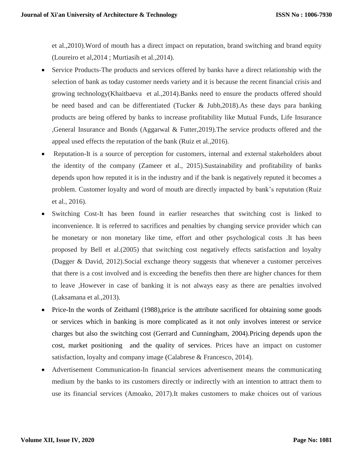et al.,2010).Word of mouth has a direct impact on reputation, brand switching and brand equity (Loureiro et al,2014 ; Murtiasih et al.,2014).

- Service Products-The products and services offered by banks have a direct relationship with the selection of bank as today customer needs variety and it is because the recent financial crisis and growing technology(Khaitbaeva et al.,2014).Banks need to ensure the products offered should be need based and can be differentiated (Tucker & Jubb,2018).As these days para banking products are being offered by banks to increase profitability like Mutual Funds, Life Insurance ,General Insurance and Bonds (Aggarwal & Futter,2019).The service products offered and the appeal used effects the reputation of the bank (Ruiz et al.,2016).
- Reputation-It is a source of perception for customers, internal and external stakeholders about the identity of the company (Zameer et al., 2015).Sustainability and profitability of banks depends upon how reputed it is in the industry and if the bank is negatively reputed it becomes a problem. Customer loyalty and word of mouth are directly impacted by bank's reputation (Ruiz et al., 2016).
- Switching Cost-It has been found in earlier researches that switching cost is linked to inconvenience. It is referred to sacrifices and penalties by changing service provider which can be monetary or non monetary like time, effort and other psychological costs .It has been proposed by Bell et al.(2005) that switching cost negatively effects satisfaction and loyalty (Dagger & David, 2012).Social exchange theory suggests that whenever a customer perceives that there is a cost involved and is exceeding the benefits then there are higher chances for them to leave ,However in case of banking it is not always easy as there are penalties involved (Laksamana et al.,2013).
- Price-In the words of Zeithaml (1988),price is the attribute sacrificed for obtaining some goods or services which in banking is more complicated as it not only involves interest or service charges but also the switching cost (Gerrard and Cunningham, 2004).Pricing depends upon the cost, market positioning and the quality of services. Prices have an impact on customer satisfaction, loyalty and company image (Calabrese & Francesco, 2014).
- Advertisement Communication-In financial services advertisement means the communicating medium by the banks to its customers directly or indirectly with an intention to attract them to use its financial services (Amoako, 2017).It makes customers to make choices out of various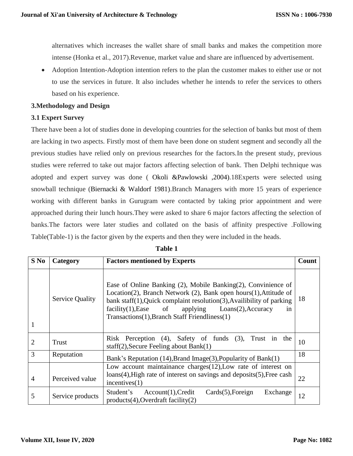alternatives which increases the wallet share of small banks and makes the competition more intense (Honka et al., 2017).Revenue, market value and share are influenced by advertisement.

 Adoption Intention-Adoption intention refers to the plan the customer makes to either use or not to use the services in future. It also includes whether he intends to refer the services to others based on his experience.

### **3.Methodology and Design**

### **3.1 Expert Survey**

There have been a lot of studies done in developing countries for the selection of banks but most of them are lacking in two aspects. Firstly most of them have been done on student segment and secondly all the previous studies have relied only on previous researches for the factors.In the present study, previous studies were referred to take out major factors affecting selection of bank. Then Delphi technique was adopted and expert survey was done ( Okoli &Pawlowski ,2004).18Experts were selected using snowball technique (Biernacki & Waldorf 1981).Branch Managers with more 15 years of experience working with different banks in Gurugram were contacted by taking prior appointment and were approached during their lunch hours.They were asked to share 6 major factors affecting the selection of banks.The factors were later studies and collated on the basis of affinity prespective .Following Table(Table-1) is the factor given by the experts and then they were included in the heads.

| $S$ No         | Category               | <b>Factors mentioned by Experts</b>                                                                                                                                                                                                                                                                                                  | Count |
|----------------|------------------------|--------------------------------------------------------------------------------------------------------------------------------------------------------------------------------------------------------------------------------------------------------------------------------------------------------------------------------------|-------|
| 1              | <b>Service Quality</b> | Ease of Online Banking (2), Mobile Banking (2), Convinience of<br>Location(2), Branch Network (2), Bank open hours(1), Attitude of<br>bank staff $(1)$ , Quick complaint resolution $(3)$ , Availibility of parking<br>$facility(1)$ , Ease of applying $Loans(2)$ , Accuracy<br>in<br>Transactions(1), Branch Staff Friendliness(1) | 18    |
| $\overline{2}$ | Trust                  | Risk Perception (4), Safety of funds (3), Trust in the<br>staff $(2)$ , Secure Feeling about Bank $(1)$                                                                                                                                                                                                                              | 10    |
| 3              | Reputation             | Bank's Reputation (14), Brand Image(3), Popularity of Bank(1)                                                                                                                                                                                                                                                                        | 18    |
| $\overline{4}$ | Perceived value        | Low account maintainance charges(12), Low rate of interest on<br>$loans(4)$ , High rate of interest on savings and deposits $(5)$ , Free cash<br>incentives(1)                                                                                                                                                                       | 22    |
| 5              | Service products       | Student's<br>$Cards(5)$ , Foreign<br>Exchange<br>Account(1), Credit<br>$products(4)$ , Overdraft facility(2)                                                                                                                                                                                                                         | 12    |

### **Table 1**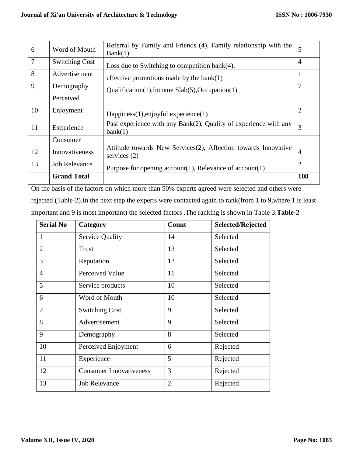|                | <b>Grand Total</b>    |                                                                                  | 108            |
|----------------|-----------------------|----------------------------------------------------------------------------------|----------------|
| 13             | <b>Job Relevance</b>  | Purpose for opening account $(1)$ , Relevance of account $(1)$                   | $\overline{2}$ |
| 12             | Innovativeness        | Attitude towards New Services(2), Affection towards Innovative<br>services $(2)$ | $\overline{4}$ |
|                | Consumer              |                                                                                  |                |
| 11             | Experience            | Past experience with any Bank(2), Quality of experience with any<br>bank(1)      | 3              |
| 10             | Enjoyment             | Happiness(1), enjoyful experience(1)                                             | $\overline{2}$ |
|                | Perceived             |                                                                                  |                |
| 9              | Demography            | Qualification(1), Income $Slab(5)$ , Occupation(1)                               | 7              |
| 8              | Advertisement         | effective promotions made by the bank $(1)$                                      |                |
| $\overline{7}$ | <b>Switching Cost</b> | Loss due to Switching to competition bank $(4)$ ,                                | $\overline{4}$ |
| 6              | Word of Mouth         | Referral by Family and Friends (4), Family relationship with the<br>Bank(1)      | 5              |

On the basis of the factors on which more than 50% experts agreed were selected and others were rejected (Table-2).In the next step the experts were contacted again to rank(from 1 to 9,where 1 is least important and 9 is most important) the selected factors .The ranking is shown in Table 3.**Table-2**

| <b>Serial No</b> | Category                       | Count          | Selected/Rejected |
|------------------|--------------------------------|----------------|-------------------|
| $\mathbf{1}$     | <b>Service Quality</b>         | 14             | Selected          |
| $\overline{2}$   | Trust                          | 13             | Selected          |
| 3                | Reputation                     | 12             | Selected          |
| $\overline{4}$   | Perceived Value                | 11             | Selected          |
| 5                | Service products               | 10             | Selected          |
| 6                | Word of Mouth                  | 10             | Selected          |
| $\overline{7}$   | <b>Switching Cost</b>          | 9              | Selected          |
| 8                | Advertisement                  | 9              | Selected          |
| 9                | Demography                     | 8              | Selected          |
| 10               | Perceived Enjoyment            | 6              | Rejected          |
| 11               | Experience                     | 5              | Rejected          |
| 12               | <b>Consumer Innovativeness</b> | 3              | Rejected          |
| 13               | <b>Job Relevance</b>           | $\overline{2}$ | Rejected          |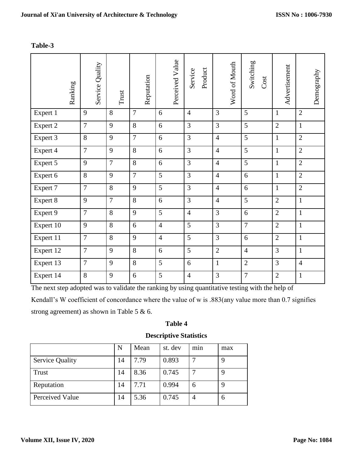# **Table-3**

| Ranking   |                | Service Quality | Trust          | Reputation     | Perceived Value | Product<br>Service | Word of Mouth  | Switching<br>Cost | Advertisement  | Demography     |
|-----------|----------------|-----------------|----------------|----------------|-----------------|--------------------|----------------|-------------------|----------------|----------------|
| Expert 1  | 9              |                 | 8              | $\overline{7}$ | 6               | $\overline{4}$     | 3              | 5                 | $\mathbf{1}$   | $\overline{2}$ |
| Expert 2  | $\overline{7}$ |                 | 9              | 8              | 6               | 3                  | $\overline{3}$ | 5                 | $\overline{2}$ | $\mathbf{1}$   |
| Expert 3  | 8              |                 | 9              | $\overline{7}$ | 6               | 3                  | $\overline{4}$ | 5                 | $\mathbf{1}$   | $\overline{2}$ |
| Expert 4  | $\overline{7}$ |                 | 9              | 8              | 6               | 3                  | $\overline{4}$ | 5                 | $\mathbf{1}$   | $\overline{2}$ |
| Expert 5  | 9              |                 | $\overline{7}$ | 8              | 6               | 3                  | $\overline{4}$ | 5                 | $\mathbf{1}$   | $\overline{2}$ |
| Expert 6  | 8              |                 | 9              | $\overline{7}$ | 5               | 3                  | $\overline{4}$ | 6                 | $\mathbf{1}$   | $\overline{2}$ |
| Expert 7  | $\overline{7}$ |                 | 8              | 9              | 5               | 3                  | $\overline{4}$ | 6                 | $\mathbf{1}$   | $\overline{2}$ |
| Expert 8  | 9              |                 | $\overline{7}$ | 8              | 6               | 3                  | $\overline{4}$ | 5                 | $\overline{2}$ | $\mathbf{1}$   |
| Expert 9  | $\overline{7}$ |                 | 8              | $\overline{9}$ | $\overline{5}$  | $\overline{4}$     | $\overline{3}$ | 6                 | $\overline{2}$ | $\mathbf{1}$   |
| Expert 10 | 9              |                 | 8              | 6              | $\overline{4}$  | 5                  | $\overline{3}$ | $\overline{7}$    | $\overline{2}$ | $\mathbf{1}$   |
| Expert 11 | $\overline{7}$ |                 | 8              | 9              | $\overline{4}$  | 5                  | 3              | 6                 | $\overline{2}$ | $\mathbf{1}$   |
| Expert 12 | $\overline{7}$ |                 | 9              | 8              | 6               | 5                  | $\overline{2}$ | $\overline{4}$    | 3              | $\mathbf{1}$   |
| Expert 13 | $\overline{7}$ |                 | 9              | 8              | 5               | 6                  | $\mathbf{1}$   | $\overline{2}$    | 3              | $\overline{4}$ |
| Expert 14 | 8              |                 | 9              | 6              | 5               | $\overline{4}$     | 3              | $\overline{7}$    | $\overline{2}$ | $\mathbf{1}$   |

The next step adopted was to validate the ranking by using quantitative testing with the help of

Kendall's W coefficient of concordance where the value of w is .883(any value more than 0.7 signifies

strong agreement) as shown in Table 5 & 6.

# **Table 4**

# **Descriptive Statistics**

|                        | N  | Mean | st. dev | m <sub>1</sub> n | max |
|------------------------|----|------|---------|------------------|-----|
| <b>Service Quality</b> | 14 | 7.79 | 0.893   |                  | q   |
| Trust                  | 14 | 8.36 | 0.745   |                  | 9   |
| Reputation             | 14 | 7.71 | 0.994   | 6                | 9   |
| Perceived Value        | 14 | 5.36 | 0.745   | $\overline{4}$   | 6   |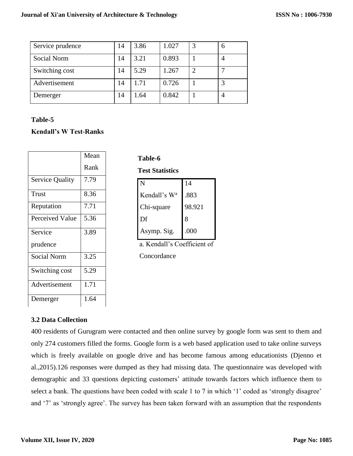| Service prudence | 14 | 3.86 | 1.027 | O |
|------------------|----|------|-------|---|
| Social Norm      | 14 | 3.21 | 0.893 |   |
| Switching cost   | 14 | 5.29 | 1.267 | − |
| Advertisement    | 14 | 1.71 | 0.726 | 3 |
| Demerger         | 14 | .64  | 0.842 |   |

# **Table-5**

# **Kendall's W Test-Ranks**

|                        | Mean |  |
|------------------------|------|--|
|                        | Rank |  |
| <b>Service Quality</b> | 7.79 |  |
| <b>Trust</b>           | 8.36 |  |
| Reputation             | 7.71 |  |
| <b>Perceived Value</b> | 5.36 |  |
| Service                | 3.89 |  |
| prudence               |      |  |
| <b>Social Norm</b>     | 3.25 |  |
| Switching cost         | 5.29 |  |
| Advertisement          | 1.71 |  |
| Demerger               | 1.64 |  |

| <b>Test Statistics</b> |        |  |  |  |  |
|------------------------|--------|--|--|--|--|
| N                      | 14     |  |  |  |  |
| Kendall's $W^a$        | .883   |  |  |  |  |
| Chi-square             | 98.921 |  |  |  |  |
|                        |        |  |  |  |  |

 $\overline{\text{Df}}$  8

Asymp. Sig.  $\big| .000 \big|$ 

**Table-6**

Concordance

# **3.2 Data Collection**

400 residents of Gurugram were contacted and then online survey by google form was sent to them and only 274 customers filled the forms. Google form is a web based application used to take online surveys which is freely available on google drive and has become famous among educationists (Djenno et al.,2015).126 responses were dumped as they had missing data. The questionnaire was developed with demographic and 33 questions depicting customers' attitude towards factors which influence them to select a bank. The questions have been coded with scale 1 to 7 in which '1' coded as 'strongly disagree' and '7' as 'strongly agree'. The survey has been taken forward with an assumption that the respondents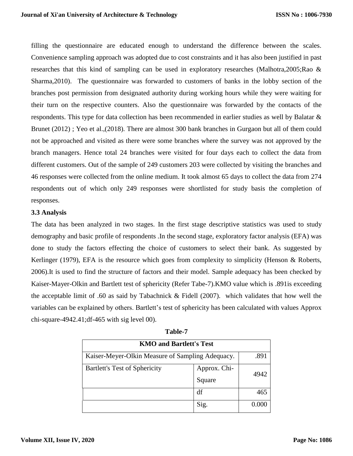filling the questionnaire are educated enough to understand the difference between the scales. Convenience sampling approach was adopted due to cost constraints and it has also been justified in past researches that this kind of sampling can be used in exploratory researches (Malhotra,2005;Rao & Sharma,2010). The questionnaire was forwarded to customers of banks in the lobby section of the branches post permission from designated authority during working hours while they were waiting for their turn on the respective counters. Also the questionnaire was forwarded by the contacts of the respondents. This type for data collection has been recommended in earlier studies as well by Balatar & Brunet (2012) ; Yeo et al.,(2018). There are almost 300 bank branches in Gurgaon but all of them could not be approached and visited as there were some branches where the survey was not approved by the branch managers. Hence total 24 branches were visited for four days each to collect the data from different customers. Out of the sample of 249 customers 203 were collected by visiting the branches and 46 responses were collected from the online medium. It took almost 65 days to collect the data from 274 respondents out of which only 249 responses were shortlisted for study basis the completion of responses.

### **3.3 Analysis**

The data has been analyzed in two stages. In the first stage descriptive statistics was used to study demography and basic profile of respondents .In the second stage, exploratory factor analysis (EFA) was done to study the factors effecting the choice of customers to select their bank. As suggested by Kerlinger (1979), EFA is the resource which goes from complexity to simplicity (Henson & Roberts, 2006).It is used to find the structure of factors and their model. Sample adequacy has been checked by Kaiser-Mayer-Olkin and Bartlett test of sphericity (Refer Tabe-7).KMO value which is .891is exceeding the acceptable limit of .60 as said by Tabachnick & Fidell (2007). which validates that how well the variables can be explained by others. Bartlett's test of sphericity has been calculated with values Approx chi-square-4942.41;df-465 with sig level 00).

| <b>KMO and Bartlett's Test</b>                                 |      |      |  |  |
|----------------------------------------------------------------|------|------|--|--|
| Kaiser-Meyer-Olkin Measure of Sampling Adequacy.               |      | .891 |  |  |
| <b>Bartlett's Test of Sphericity</b><br>Approx. Chi-<br>Square |      | 4942 |  |  |
|                                                                | df   | 465  |  |  |
|                                                                | Sig. |      |  |  |

| anı<br>ю |
|----------|
|          |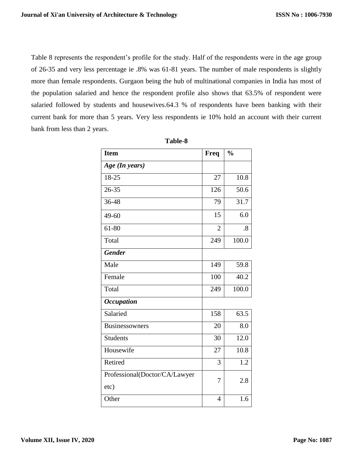Table 8 represents the respondent's profile for the study. Half of the respondents were in the age group of 26-35 and very less percentage ie .8% was 61-81 years. The number of male respondents is slightly more than female respondents. Gurgaon being the hub of multinational companies in India has most of the population salaried and hence the respondent profile also shows that 63.5% of respondent were salaried followed by students and housewives.64.3 % of respondents have been banking with their current bank for more than 5 years. Very less respondents ie 10% hold an account with their current bank from less than 2 years.

| <b>Item</b>                   | <b>Freq</b>    | $\frac{0}{0}$ |
|-------------------------------|----------------|---------------|
| Age (In years)                |                |               |
| 18-25                         | 27             | 10.8          |
| 26-35                         | 126            | 50.6          |
| 36-48                         | 79             | 31.7          |
| 49-60                         | 15             | 6.0           |
| 61-80                         | $\overline{2}$ | .8            |
| Total                         | 249            | 100.0         |
| <b>Gender</b>                 |                |               |
| Male                          | 149            | 59.8          |
| Female                        | 100            | 40.2          |
| Total                         | 249            | 100.0         |
| <b>Occupation</b>             |                |               |
| Salaried                      | 158            | 63.5          |
| Businessowners                | 20             | 8.0           |
| <b>Students</b>               | 30             | 12.0          |
| Housewife                     | 27             | 10.8          |
| Retired                       | 3              | 1.2           |
| Professional(Doctor/CA/Lawyer | 7              | 2.8           |
| etc)                          |                |               |
| Other                         | 4              | 1.6           |

**Table-8**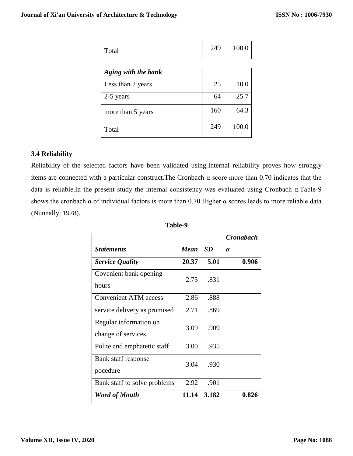| Total               | 249 | 100.0 |
|---------------------|-----|-------|
| Aging with the bank |     |       |
| Less than 2 years   | 25  | 10.0  |
| 2-5 years           | 64  | 25.7  |
| more than 5 years   | 160 | 64.3  |
| Total               | 249 | 100.0 |

### **3.4 Reliability**

Reliability of the selected factors have been validated using.Internal reliability proves how strongly items are connected with a particular construct.The Cronbach α score more than 0.70 indicates that the data is reliable.In the present study the internal consistency was evaluated using Cronbach α.Table-9 shows the cronbach  $\alpha$  of individual factors is more than 0.70. Higher  $\alpha$  scores leads to more reliable data (Nunnally, 1978).

|                                              |             |           | <b>Cronabach</b> |
|----------------------------------------------|-------------|-----------|------------------|
| <b>Statements</b>                            | <b>Mean</b> | <b>SD</b> | $\alpha$         |
| <b>Service Quality</b>                       | 20.37       | 5.01      | 0.906            |
| Covenient bank opening<br>hours              | 2.75        | .831      |                  |
| <b>Convenient ATM</b> access                 | 2.86        | .888      |                  |
| service delivery as promised                 | 2.71        | .869      |                  |
| Regular information on<br>change of services | 3.09        | .909      |                  |
| Polite and emphatetic staff                  | 3.00        | .935      |                  |
| Bank staff response<br>pocedure              | 3.04        | .930      |                  |
| Bank staff to solve problems                 | 2.92        | .901      |                  |
| <b>Word of Mouth</b>                         | 11.14       | 3.182     | 0.826            |

| able |  |
|------|--|
|      |  |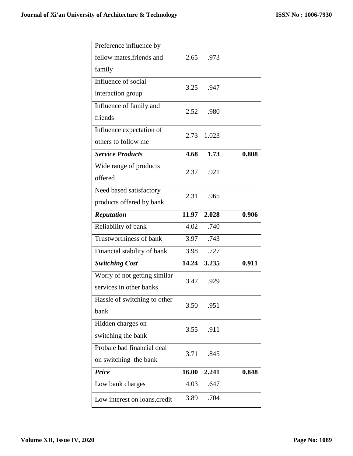| Preference influence by      |       |       |       |
|------------------------------|-------|-------|-------|
| fellow mates, friends and    | 2.65  | .973  |       |
| family                       |       |       |       |
| Influence of social          | 3.25  | .947  |       |
| interaction group            |       |       |       |
| Influence of family and      | 2.52  | .980  |       |
| friends                      |       |       |       |
| Influence expectation of     | 2.73  | 1.023 |       |
| others to follow me          |       |       |       |
| <b>Service Products</b>      | 4.68  | 1.73  | 0.808 |
| Wide range of products       | 2.37  | .921  |       |
| offered                      |       |       |       |
| Need based satisfactory      | 2.31  | .965  |       |
| products offered by bank     |       |       |       |
| <b>Reputation</b>            | 11.97 | 2.028 | 0.906 |
|                              |       |       |       |
| Reliability of bank          | 4.02  | .740  |       |
| Trustworthiness of bank      | 3.97  | .743  |       |
| Financial stability of bank  | 3.98  | .727  |       |
| <b>Switching Cost</b>        | 14.24 | 3.235 | 0.911 |
| Worry of not getting similar |       |       |       |
| services in other banks      | 3.47  | .929  |       |
| Hassle of switching to other |       |       |       |
| bank                         | 3.50  | .951  |       |
| Hidden charges on            |       |       |       |
| switching the bank           | 3.55  | .911  |       |
| Probale bad financial deal   |       |       |       |
| on switching the bank        | 3.71  | .845  |       |
| <b>Price</b>                 | 16.00 | 2.241 | 0.848 |
| Low bank charges             | 4.03  | .647  |       |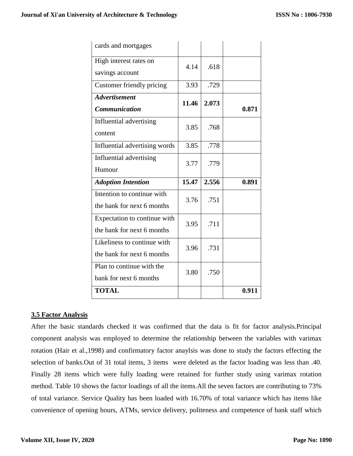| cards and mortgages           |       |       |       |  |
|-------------------------------|-------|-------|-------|--|
| High interest rates on        | 4.14  | .618  |       |  |
| savings account               |       |       |       |  |
| Customer friendly pricing     | 3.93  | .729  |       |  |
| <b>Advertisement</b>          | 11.46 | 2.073 |       |  |
| Communication                 |       |       | 0.871 |  |
| Influential advertising       | 3.85  | .768  |       |  |
| content                       |       |       |       |  |
| Influential advertising words | 3.85  | .778  |       |  |
| Influential advertising       | 3.77  | .779  |       |  |
|                               |       |       |       |  |
| Humour                        |       |       |       |  |
| <b>Adoption Intention</b>     | 15.47 | 2.556 | 0.891 |  |
| Intention to continue with    |       |       |       |  |
| the bank for next 6 months    | 3.76  | .751  |       |  |
| Expectation to continue with  |       |       |       |  |
| the bank for next 6 months    | 3.95  | .711  |       |  |
| Likeliness to continue with   |       |       |       |  |
| the bank for next 6 months    | 3.96  | .731  |       |  |
| Plan to continue with the     |       |       |       |  |
| bank for next 6 months        | 3.80  | .750  |       |  |

### **3.5 Factor Analysis**

After the basic standards checked it was confirmed that the data is fit for factor analysis.Principal component analysis was employed to determine the relationship between the variables with varimax rotation (Hair et al.,1998) and confirmatory factor anaylsis was done to study the factors effecting the selection of banks.Out of 31 total items, 3 items were deleted as the factor loading was less than .40. Finally 28 items which were fully loading were retained for further study using varimax rotation method. Table 10 shows the factor loadings of all the items.All the seven factors are contributing to 73% of total variance. Service Quality has been loaded with 16.70% of total variance which has items like convenience of opening hours, ATMs, service delivery, politeness and competence of bank staff which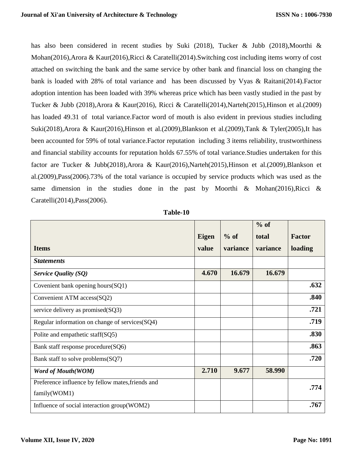has also been considered in recent studies by Suki (2018), Tucker & Jubb (2018),Moorthi & Mohan(2016),Arora & Kaur(2016),Ricci & Caratelli(2014).Switching cost including items worry of cost attached on switching the bank and the same service by other bank and financial loss on changing the bank is loaded with 28% of total variance and has been discussed by Vyas & Raitani(2014).Factor adoption intention has been loaded with 39% whereas price which has been vastly studied in the past by Tucker & Jubb (2018),Arora & Kaur(2016), Ricci & Caratelli(2014),Narteh(2015),Hinson et al.(2009) has loaded 49.31 of total variance.Factor word of mouth is also evident in previous studies including Suki(2018),Arora & Kaur(2016),Hinson et al.(2009),Blankson et al.(2009),Tank & Tyler(2005),It has been accounted for 59% of total variance.Factor reputation including 3 items reliability, trustworthiness and financial stability accounts for reputation holds 67.55% of total variance.Studies undertaken for this factor are Tucker & Jubb(2018),Arora & Kaur(2016),Narteh(2015),Hinson et al.(2009),Blankson et al.(2009),Pass(2006).73% of the total variance is occupied by service products which was used as the same dimension in the studies done in the past by Moorthi & Mohan(2016),Ricci & Caratelli(2014),Pass(2006).

|                                                   |              |          | $%$ of   |               |
|---------------------------------------------------|--------------|----------|----------|---------------|
|                                                   | <b>Eigen</b> | $%$ of   | total    | <b>Factor</b> |
| <b>Items</b>                                      | value        | variance | variance | loading       |
| <b>Statements</b>                                 |              |          |          |               |
| <b>Service Quality (SQ)</b>                       | 4.670        | 16.679   | 16.679   |               |
| Covenient bank opening hours(SQ1)                 |              |          |          | .632          |
| Convenient ATM access(SQ2)                        |              |          |          | .840          |
| service delivery as promised(SQ3)                 |              |          |          | .721          |
| Regular information on change of services(SQ4)    |              |          |          | .719          |
| Polite and empathetic staff(SQ5)                  |              |          |          | .830          |
| Bank staff response procedure(SQ6)                |              |          |          | .863          |
| Bank staff to solve problems (SQ7)                |              |          |          | .720          |
| <b>Word of Mouth(WOM)</b>                         | 2.710        | 9.677    | 58.990   |               |
| Preference influence by fellow mates, friends and |              |          |          | .774          |
| family(WOM1)                                      |              |          |          |               |
| Influence of social interaction group(WOM2)       |              |          |          | .767          |

**Table-10**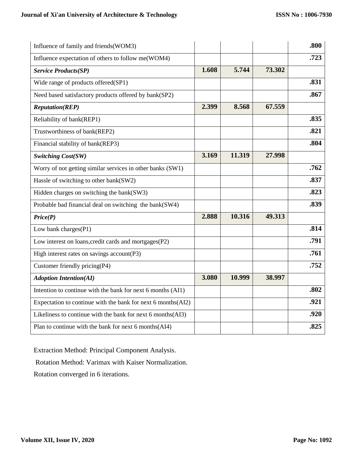| Influence of family and friends (WOM3)                       |       |        |        | .800 |
|--------------------------------------------------------------|-------|--------|--------|------|
| Influence expectation of others to follow me(WOM4)           |       |        |        | .723 |
| <b>Service Products(SP)</b>                                  | 1.608 | 5.744  | 73.302 |      |
| Wide range of products offered(SP1)                          |       |        |        | .831 |
| Need based satisfactory products offered by bank(SP2)        |       |        |        | .867 |
| <b>Reputation(REP)</b>                                       | 2.399 | 8.568  | 67.559 |      |
| Reliability of bank(REP1)                                    |       |        |        | .835 |
| Trustworthiness of bank(REP2)                                |       |        |        | .821 |
| Financial stability of bank(REP3)                            |       |        |        | .804 |
| <b>Switching Cost(SW)</b>                                    | 3.169 | 11.319 | 27.998 |      |
| Worry of not getting similar services in other banks (SW1)   |       |        |        | .762 |
| Hassle of switching to other bank(SW2)                       |       |        |        | .837 |
| Hidden charges on switching the bank(SW3)                    |       |        |        | .823 |
| Probable bad financial deal on switching the bank(SW4)       |       |        |        | .839 |
| Price(P)                                                     | 2.888 | 10.316 | 49.313 |      |
| Low bank charges(P1)                                         |       |        |        | .814 |
| Low interest on loans, credit cards and mortgages (P2)       |       |        |        | .791 |
| High interest rates on savings account(P3)                   |       |        |        | .761 |
| Customer friendly pricing(P4)                                |       |        |        | .752 |
| <b>Adoption Intention(AI)</b>                                | 3.080 | 10.999 | 38.997 |      |
| Intention to continue with the bank for next 6 months (AI1)  |       |        |        | .802 |
| Expectation to continue with the bank for next 6 months(AI2) |       |        |        | .921 |
| Likeliness to continue with the bank for next 6 months (AI3) |       |        |        | .920 |
| Plan to continue with the bank for next 6 months (AI4)       |       |        |        | .825 |

Extraction Method: Principal Component Analysis.

Rotation Method: Varimax with Kaiser Normalization.

Rotation converged in 6 iterations.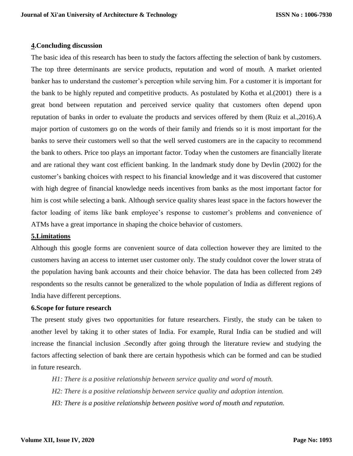### **4.Concluding discussion**

The basic idea of this research has been to study the factors affecting the selection of bank by customers. The top three determinants are service products, reputation and word of mouth. A market oriented banker has to understand the customer's perception while serving him. For a customer it is important for the bank to be highly reputed and competitive products. As postulated by Kotha et al.(2001) there is a great bond between reputation and perceived service quality that customers often depend upon reputation of banks in order to evaluate the products and services offered by them (Ruiz et al.,2016).A major portion of customers go on the words of their family and friends so it is most important for the banks to serve their customers well so that the well served customers are in the capacity to recommend the bank to others. Price too plays an important factor. Today when the customers are financially literate and are rational they want cost efficient banking. In the landmark study done by Devlin (2002) for the customer's banking choices with respect to his financial knowledge and it was discovered that customer with high degree of financial knowledge needs incentives from banks as the most important factor for him is cost while selecting a bank. Although service quality shares least space in the factors however the factor loading of items like bank employee's response to customer's problems and convenience of ATMs have a great importance in shaping the choice behavior of customers.

#### **5.Limitations**

Although this google forms are convenient source of data collection however they are limited to the customers having an access to internet user customer only. The study couldnot cover the lower strata of the population having bank accounts and their choice behavior. The data has been collected from 249 respondents so the results cannot be generalized to the whole population of India as different regions of India have different perceptions.

### **6.Scope for future research**

The present study gives two opportunities for future researchers. Firstly, the study can be taken to another level by taking it to other states of India. For example, Rural India can be studied and will increase the financial inclusion .Secondly after going through the literature review and studying the factors affecting selection of bank there are certain hypothesis which can be formed and can be studied in future research.

*H1: There is a positive relationship between service quality and word of mouth. H2: There is a positive relationship between service quality and adoption intention. H3: There is a positive relationship between positive word of mouth and reputation.*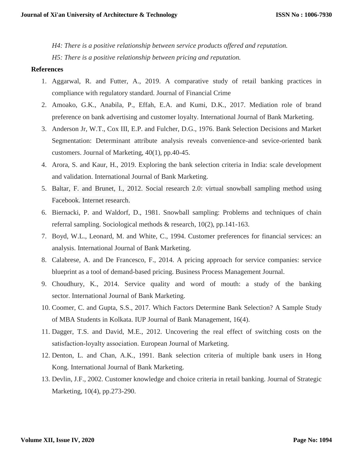*H4: There is a positive relationship between service products offered and reputation. H5: There is a positive relationship between pricing and reputation.*

#### **References**

- 1. Aggarwal, R. and Futter, A., 2019. A comparative study of retail banking practices in compliance with regulatory standard. Journal of Financial Crime
- 2. Amoako, G.K., Anabila, P., Effah, E.A. and Kumi, D.K., 2017. Mediation role of brand preference on bank advertising and customer loyalty. International Journal of Bank Marketing.
- 3. Anderson Jr, W.T., Cox III, E.P. and Fulcher, D.G., 1976. Bank Selection Decisions and Market Segmentation: Determinant attribute analysis reveals convenience-and sevice-oriented bank customers. Journal of Marketing, 40(1), pp.40-45.
- 4. Arora, S. and Kaur, H., 2019. Exploring the bank selection criteria in India: scale development and validation. International Journal of Bank Marketing.
- 5. Baltar, F. and Brunet, I., 2012. Social research 2.0: virtual snowball sampling method using Facebook. Internet research.
- 6. Biernacki, P. and Waldorf, D., 1981. Snowball sampling: Problems and techniques of chain referral sampling. Sociological methods & research, 10(2), pp.141-163.
- 7. Boyd, W.L., Leonard, M. and White, C., 1994. Customer preferences for financial services: an analysis. International Journal of Bank Marketing.
- 8. Calabrese, A. and De Francesco, F., 2014. A pricing approach for service companies: service blueprint as a tool of demand-based pricing. Business Process Management Journal.
- 9. Choudhury, K., 2014. Service quality and word of mouth: a study of the banking sector. International Journal of Bank Marketing.
- 10. Coomer, C. and Gupta, S.S., 2017. Which Factors Determine Bank Selection? A Sample Study of MBA Students in Kolkata. IUP Journal of Bank Management, 16(4).
- 11. Dagger, T.S. and David, M.E., 2012. Uncovering the real effect of switching costs on the satisfaction‐loyalty association. European Journal of Marketing.
- 12. Denton, L. and Chan, A.K., 1991. Bank selection criteria of multiple bank users in Hong Kong. International Journal of Bank Marketing.
- 13. Devlin, J.F., 2002. Customer knowledge and choice criteria in retail banking. Journal of Strategic Marketing, 10(4), pp.273-290.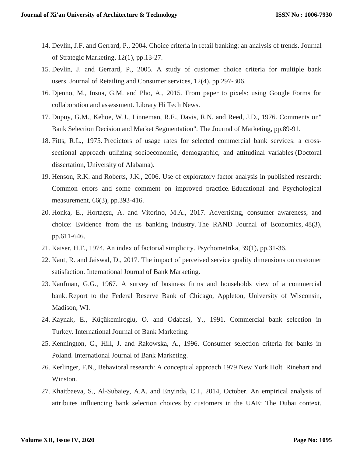- 14. Devlin, J.F. and Gerrard, P., 2004. Choice criteria in retail banking: an analysis of trends. Journal of Strategic Marketing, 12(1), pp.13-27.
- 15. Devlin, J. and Gerrard, P., 2005. A study of customer choice criteria for multiple bank users. Journal of Retailing and Consumer services, 12(4), pp.297-306.
- 16. Djenno, M., Insua, G.M. and Pho, A., 2015. From paper to pixels: using Google Forms for collaboration and assessment. Library Hi Tech News.
- 17. Dupuy, G.M., Kehoe, W.J., Linneman, R.F., Davis, R.N. and Reed, J.D., 1976. Comments on" Bank Selection Decision and Market Segmentation". The Journal of Marketing, pp.89-91.
- 18. Fitts, R.L., 1975. Predictors of usage rates for selected commercial bank services: a crosssectional approach utilizing socioeconomic, demographic, and attitudinal variables (Doctoral dissertation, University of Alabama).
- 19. Henson, R.K. and Roberts, J.K., 2006. Use of exploratory factor analysis in published research: Common errors and some comment on improved practice. Educational and Psychological measurement, 66(3), pp.393-416.
- 20. Honka, E., Hortaçsu, A. and Vitorino, M.A., 2017. Advertising, consumer awareness, and choice: Evidence from the us banking industry. The RAND Journal of Economics, 48(3), pp.611-646.
- 21. Kaiser, H.F., 1974. An index of factorial simplicity. Psychometrika, 39(1), pp.31-36.
- 22. Kant, R. and Jaiswal, D., 2017. The impact of perceived service quality dimensions on customer satisfaction. International Journal of Bank Marketing.
- 23. Kaufman, G.G., 1967. A survey of business firms and households view of a commercial bank. Report to the Federal Reserve Bank of Chicago, Appleton, University of Wisconsin, Madison, WI.
- 24. Kaynak, E., Küçükemiroglu, O. and Odabasi, Y., 1991. Commercial bank selection in Turkey. International Journal of Bank Marketing.
- 25. Kennington, C., Hill, J. and Rakowska, A., 1996. Consumer selection criteria for banks in Poland. International Journal of Bank Marketing.
- 26. Kerlinger, F.N., Behavioral research: A conceptual approach 1979 New York Holt. Rinehart and Winston.
- 27. Khaitbaeva, S., Al-Subaiey, A.A. and Enyinda, C.I., 2014, October. An empirical analysis of attributes influencing bank selection choices by customers in the UAE: The Dubai context.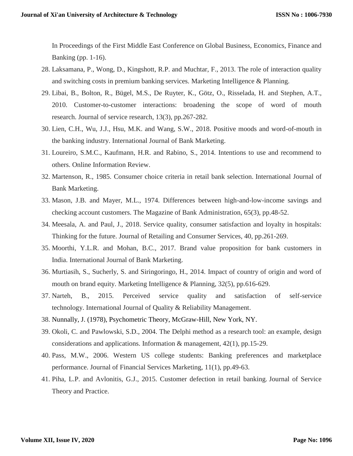In Proceedings of the First Middle East Conference on Global Business, Economics, Finance and Banking (pp. 1-16).

- 28. Laksamana, P., Wong, D., Kingshott, R.P. and Muchtar, F., 2013. The role of interaction quality and switching costs in premium banking services. Marketing Intelligence & Planning.
- 29. Libai, B., Bolton, R., Bügel, M.S., De Ruyter, K., Götz, O., Risselada, H. and Stephen, A.T., 2010. Customer-to-customer interactions: broadening the scope of word of mouth research. Journal of service research, 13(3), pp.267-282.
- 30. Lien, C.H., Wu, J.J., Hsu, M.K. and Wang, S.W., 2018. Positive moods and word-of-mouth in the banking industry. International Journal of Bank Marketing.
- 31. Loureiro, S.M.C., Kaufmann, H.R. and Rabino, S., 2014. Intentions to use and recommend to others. Online Information Review.
- 32. Martenson, R., 1985. Consumer choice criteria in retail bank selection. International Journal of Bank Marketing.
- 33. Mason, J.B. and Mayer, M.L., 1974. Differences between high-and-low-income savings and checking account customers. The Magazine of Bank Administration, 65(3), pp.48-52.
- 34. Meesala, A. and Paul, J., 2018. Service quality, consumer satisfaction and loyalty in hospitals: Thinking for the future. Journal of Retailing and Consumer Services, 40, pp.261-269.
- 35. Moorthi, Y.L.R. and Mohan, B.C., 2017. Brand value proposition for bank customers in India. International Journal of Bank Marketing.
- 36. Murtiasih, S., Sucherly, S. and Siringoringo, H., 2014. Impact of country of origin and word of mouth on brand equity. Marketing Intelligence & Planning, 32(5), pp.616-629.
- 37. Narteh, B., 2015. Perceived service quality and satisfaction of self-service technology. International Journal of Quality & Reliability Management.
- 38. Nunnally, J. (1978), Psychometric Theory, McGraw-Hill, New York, NY.
- 39. Okoli, C. and Pawlowski, S.D., 2004. The Delphi method as a research tool: an example, design considerations and applications. Information & management, 42(1), pp.15-29.
- 40. Pass, M.W., 2006. Western US college students: Banking preferences and marketplace performance. Journal of Financial Services Marketing, 11(1), pp.49-63.
- 41. Piha, L.P. and Avlonitis, G.J., 2015. Customer defection in retail banking. Journal of Service Theory and Practice.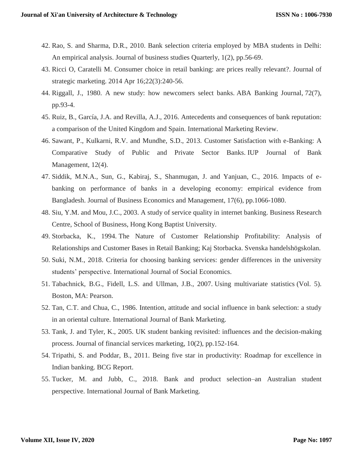- 42. Rao, S. and Sharma, D.R., 2010. Bank selection criteria employed by MBA students in Delhi: An empirical analysis. Journal of business studies Quarterly, 1(2), pp.56-69.
- 43. Ricci O, Caratelli M. Consumer choice in retail banking: are prices really relevant?. Journal of strategic marketing. 2014 Apr 16;22(3):240-56.
- 44. Riggall, J., 1980. A new study: how newcomers select banks. ABA Banking Journal, 72(7), pp.93-4.
- 45. Ruiz, B., García, J.A. and Revilla, A.J., 2016. Antecedents and consequences of bank reputation: a comparison of the United Kingdom and Spain. International Marketing Review.
- 46. Sawant, P., Kulkarni, R.V. and Mundhe, S.D., 2013. Customer Satisfaction with e-Banking: A Comparative Study of Public and Private Sector Banks. IUP Journal of Bank Management, 12(4).
- 47. Siddik, M.N.A., Sun, G., Kabiraj, S., Shanmugan, J. and Yanjuan, C., 2016. Impacts of ebanking on performance of banks in a developing economy: empirical evidence from Bangladesh. Journal of Business Economics and Management, 17(6), pp.1066-1080.
- 48. Siu, Y.M. and Mou, J.C., 2003. A study of service quality in internet banking. Business Research Centre, School of Business, Hong Kong Baptist University.
- 49. Storbacka, K., 1994. The Nature of Customer Relationship Profitability: Analysis of Relationships and Customer Bases in Retail Banking; Kaj Storbacka. Svenska handelshögskolan.
- 50. Suki, N.M., 2018. Criteria for choosing banking services: gender differences in the university students' perspective. International Journal of Social Economics.
- 51. Tabachnick, B.G., Fidell, L.S. and Ullman, J.B., 2007. Using multivariate statistics (Vol. 5). Boston, MA: Pearson.
- 52. Tan, C.T. and Chua, C., 1986. Intention, attitude and social influence in bank selection: a study in an oriental culture. International Journal of Bank Marketing.
- 53. Tank, J. and Tyler, K., 2005. UK student banking revisited: influences and the decision-making process. Journal of financial services marketing, 10(2), pp.152-164.
- 54. Tripathi, S. and Poddar, B., 2011. Being five star in productivity: Roadmap for excellence in Indian banking. BCG Report.
- 55. Tucker, M. and Jubb, C., 2018. Bank and product selection–an Australian student perspective. International Journal of Bank Marketing.